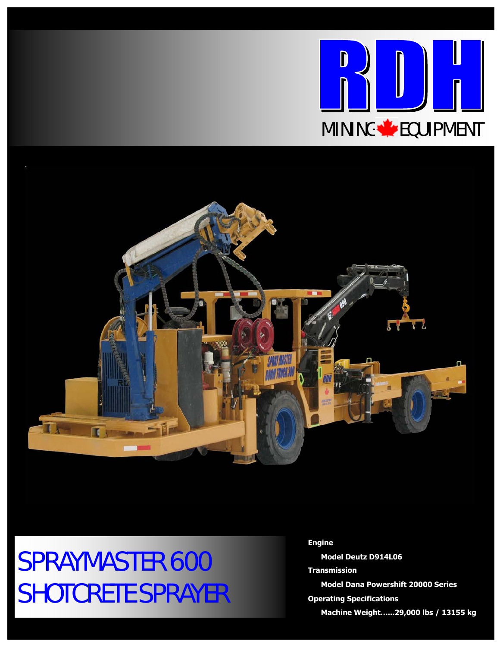



## SPRAYMASTER 600 SHOTCRETE SPRAYER

**Engine Model Deutz D914L06** 

**Transmission Model Dana Powershift 20000 Series Operating Specifications** 

 **Machine Weight…...29,000 lbs / 13155 kg**